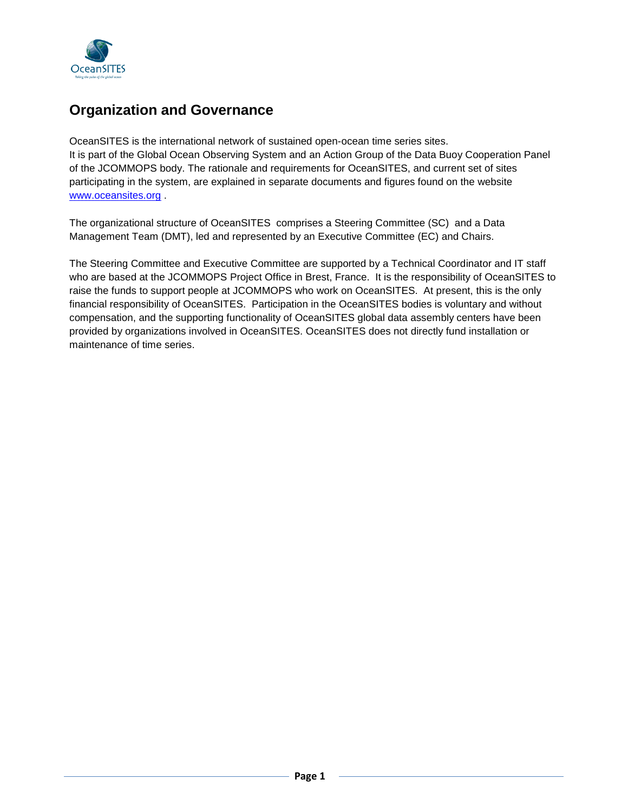

# **Organization and Governance**

OceanSITES is the international network of sustained open-ocean time series sites. It is part of the Global Ocean Observing System and an Action Group of the Data Buoy Cooperation Panel of the JCOMMOPS body. The rationale and requirements for OceanSITES, and current set of sites participating in the system, are explained in separate documents and figures found on the website [www.oceansites.org](http://www.oceansites.org/) .

The organizational structure of OceanSITES comprises a Steering Committee (SC) and a Data Management Team (DMT), led and represented by an Executive Committee (EC) and Chairs.

The Steering Committee and Executive Committee are supported by a Technical Coordinator and IT staff who are based at the JCOMMOPS Project Office in Brest, France. It is the responsibility of OceanSITES to raise the funds to support people at JCOMMOPS who work on OceanSITES. At present, this is the only financial responsibility of OceanSITES. Participation in the OceanSITES bodies is voluntary and without compensation, and the supporting functionality of OceanSITES global data assembly centers have been provided by organizations involved in OceanSITES. OceanSITES does not directly fund installation or maintenance of time series.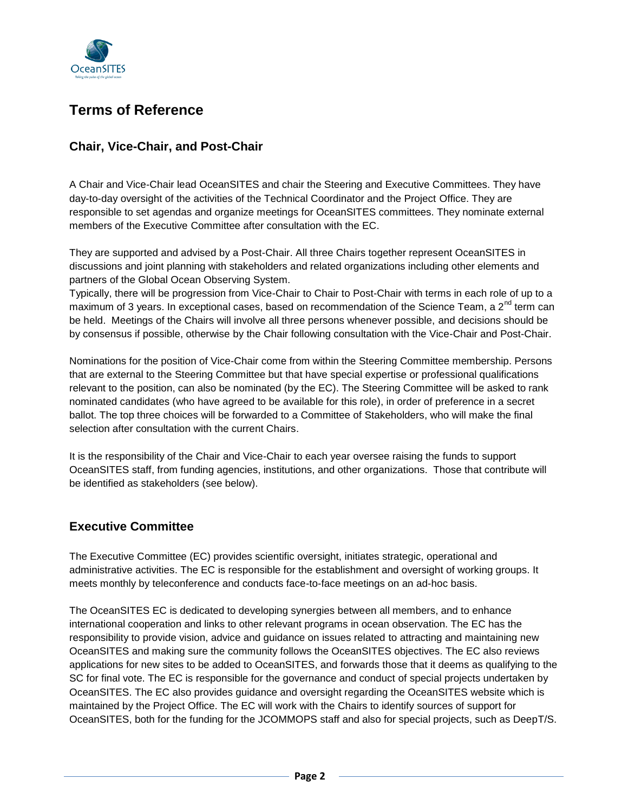

# **Terms of Reference**

## **Chair, Vice-Chair, and Post-Chair**

A Chair and Vice-Chair lead OceanSITES and chair the Steering and Executive Committees. They have day-to-day oversight of the activities of the Technical Coordinator and the Project Office. They are responsible to set agendas and organize meetings for OceanSITES committees. They nominate external members of the Executive Committee after consultation with the EC.

They are supported and advised by a Post-Chair. All three Chairs together represent OceanSITES in discussions and joint planning with stakeholders and related organizations including other elements and partners of the Global Ocean Observing System.

Typically, there will be progression from Vice-Chair to Chair to Post-Chair with terms in each role of up to a maximum of 3 years. In exceptional cases, based on recommendation of the Science Team, a 2<sup>nd</sup> term can be held. Meetings of the Chairs will involve all three persons whenever possible, and decisions should be by consensus if possible, otherwise by the Chair following consultation with the Vice-Chair and Post-Chair.

Nominations for the position of Vice-Chair come from within the Steering Committee membership. Persons that are external to the Steering Committee but that have special expertise or professional qualifications relevant to the position, can also be nominated (by the EC). The Steering Committee will be asked to rank nominated candidates (who have agreed to be available for this role), in order of preference in a secret ballot. The top three choices will be forwarded to a Committee of Stakeholders, who will make the final selection after consultation with the current Chairs.

It is the responsibility of the Chair and Vice-Chair to each year oversee raising the funds to support OceanSITES staff, from funding agencies, institutions, and other organizations. Those that contribute will be identified as stakeholders (see below).

### **Executive Committee**

The Executive Committee (EC) provides scientific oversight, initiates strategic, operational and administrative activities. The EC is responsible for the establishment and oversight of working groups. It meets monthly by teleconference and conducts face-to-face meetings on an ad-hoc basis.

The OceanSITES EC is dedicated to developing synergies between all members, and to enhance international cooperation and links to other relevant programs in ocean observation. The EC has the responsibility to provide vision, advice and guidance on issues related to attracting and maintaining new OceanSITES and making sure the community follows the OceanSITES objectives. The EC also reviews applications for new sites to be added to OceanSITES, and forwards those that it deems as qualifying to the SC for final vote. The EC is responsible for the governance and conduct of special projects undertaken by OceanSITES. The EC also provides guidance and oversight regarding the OceanSITES website which is maintained by the Project Office. The EC will work with the Chairs to identify sources of support for OceanSITES, both for the funding for the JCOMMOPS staff and also for special projects, such as DeepT/S.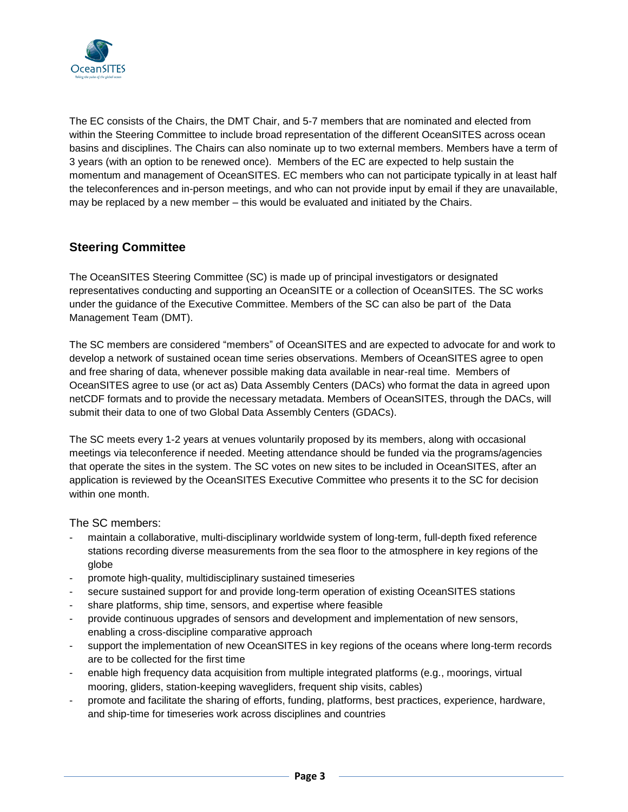

The EC consists of the Chairs, the DMT Chair, and 5-7 members that are nominated and elected from within the Steering Committee to include broad representation of the different OceanSITES across ocean basins and disciplines. The Chairs can also nominate up to two external members. Members have a term of 3 years (with an option to be renewed once). Members of the EC are expected to help sustain the momentum and management of OceanSITES. EC members who can not participate typically in at least half the teleconferences and in-person meetings, and who can not provide input by email if they are unavailable, may be replaced by a new member – this would be evaluated and initiated by the Chairs.

### **Steering Committee**

The OceanSITES Steering Committee (SC) is made up of principal investigators or designated representatives conducting and supporting an OceanSITE or a collection of OceanSITES. The SC works under the guidance of the Executive Committee. Members of the SC can also be part of the Data Management Team (DMT).

The SC members are considered "members" of OceanSITES and are expected to advocate for and work to develop a network of sustained ocean time series observations. Members of OceanSITES agree to open and free sharing of data, whenever possible making data available in near-real time. Members of OceanSITES agree to use (or act as) Data Assembly Centers (DACs) who format the data in agreed upon netCDF formats and to provide the necessary metadata. Members of OceanSITES, through the DACs, will submit their data to one of two Global Data Assembly Centers (GDACs).

The SC meets every 1-2 years at venues voluntarily proposed by its members, along with occasional meetings via teleconference if needed. Meeting attendance should be funded via the programs/agencies that operate the sites in the system. The SC votes on new sites to be included in OceanSITES, after an application is reviewed by the OceanSITES Executive Committee who presents it to the SC for decision within one month.

The SC members:

- maintain a collaborative, multi-disciplinary worldwide system of long-term, full-depth fixed reference stations recording diverse measurements from the sea floor to the atmosphere in key regions of the globe
- promote high-quality, multidisciplinary sustained timeseries
- secure sustained support for and provide long-term operation of existing OceanSITES stations
- share platforms, ship time, sensors, and expertise where feasible
- provide continuous upgrades of sensors and development and implementation of new sensors, enabling a cross-discipline comparative approach
- support the implementation of new OceanSITES in key regions of the oceans where long-term records are to be collected for the first time
- enable high frequency data acquisition from multiple integrated platforms (e.g., moorings, virtual mooring, gliders, station-keeping wavegliders, frequent ship visits, cables)
- promote and facilitate the sharing of efforts, funding, platforms, best practices, experience, hardware, and ship-time for timeseries work across disciplines and countries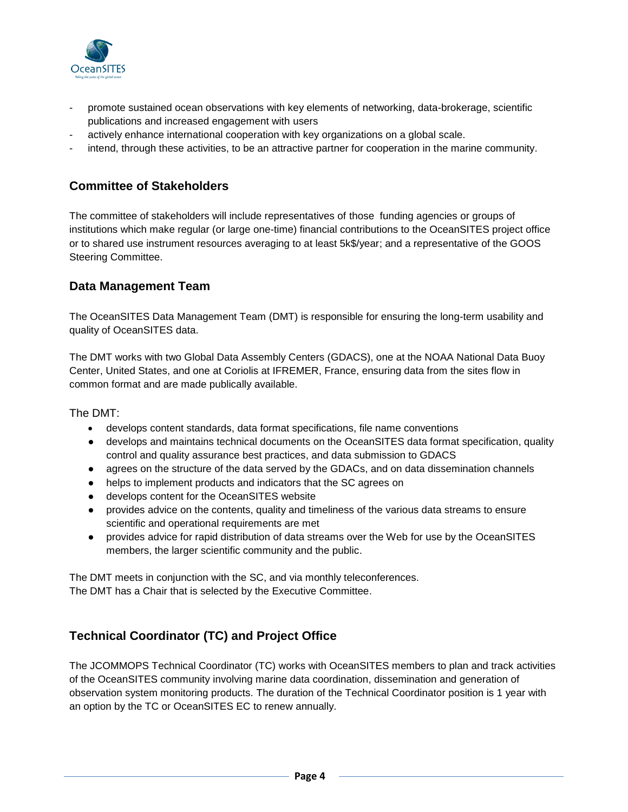

- promote sustained ocean observations with key elements of networking, data-brokerage, scientific publications and increased engagement with users
- actively enhance international cooperation with key organizations on a global scale.
- intend, through these activities, to be an attractive partner for cooperation in the marine community.

#### **Committee of Stakeholders**

The committee of stakeholders will include representatives of those funding agencies or groups of institutions which make regular (or large one-time) financial contributions to the OceanSITES project office or to shared use instrument resources averaging to at least 5k\$/year; and a representative of the GOOS Steering Committee.

#### **Data Management Team**

The OceanSITES Data Management Team (DMT) is responsible for ensuring the long-term usability and quality of OceanSITES data.

The DMT works with two Global Data Assembly Centers (GDACS), one at the NOAA National Data Buoy Center, United States, and one at Coriolis at IFREMER, France, ensuring data from the sites flow in common format and are made publically available.

#### The DMT:

- develops content standards, data format specifications, file name conventions
- develops and maintains technical documents on the OceanSITES data format specification, quality control and quality assurance best practices, and data submission to GDACS
- agrees on the structure of the data served by the GDACs, and on data dissemination channels
- helps to implement products and indicators that the SC agrees on
- develops content for the OceanSITES website
- provides advice on the contents, quality and timeliness of the various data streams to ensure scientific and operational requirements are met
- provides advice for rapid distribution of data streams over the Web for use by the OceanSITES members, the larger scientific community and the public.

The DMT meets in conjunction with the SC, and via monthly teleconferences. The DMT has a Chair that is selected by the Executive Committee.

### **Technical Coordinator (TC) and Project Office**

The JCOMMOPS Technical Coordinator (TC) works with OceanSITES members to plan and track activities of the OceanSITES community involving marine data coordination, dissemination and generation of observation system monitoring products. The duration of the Technical Coordinator position is 1 year with an option by the TC or OceanSITES EC to renew annually.